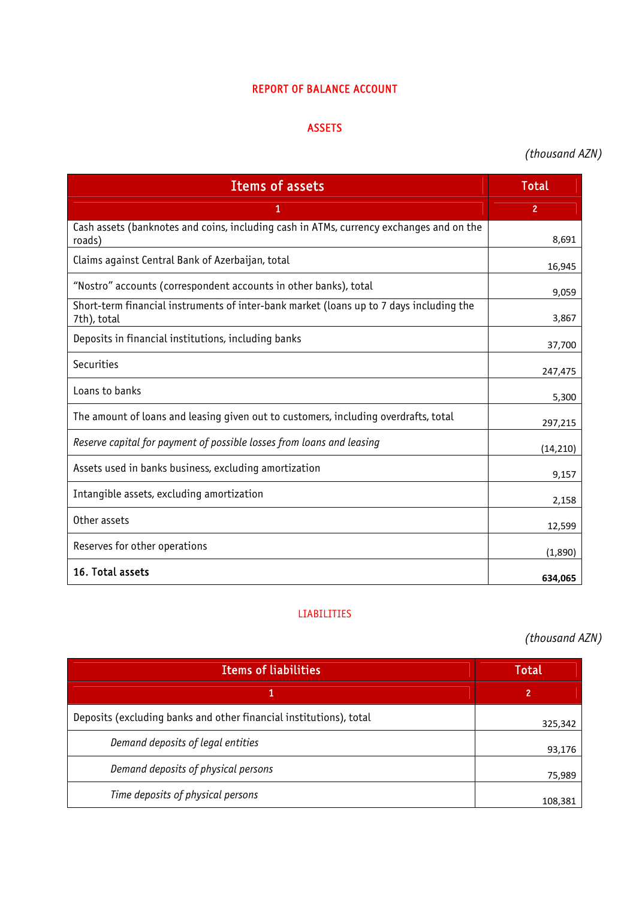### REPORT OF BALANCE ACCOUNT

#### ASSETS

# *(thousand AZN)*

| <b>Items of assets</b>                                                                                 | <b>Total</b>   |
|--------------------------------------------------------------------------------------------------------|----------------|
| 1                                                                                                      | $\overline{2}$ |
| Cash assets (banknotes and coins, including cash in ATMs, currency exchanges and on the<br>roads)      | 8,691          |
| Claims against Central Bank of Azerbaijan, total                                                       | 16,945         |
| "Nostro" accounts (correspondent accounts in other banks), total                                       | 9,059          |
| Short-term financial instruments of inter-bank market (loans up to 7 days including the<br>7th), total | 3,867          |
| Deposits in financial institutions, including banks                                                    | 37,700         |
| Securities                                                                                             | 247,475        |
| Loans to banks                                                                                         | 5,300          |
| The amount of loans and leasing given out to customers, including overdrafts, total                    | 297,215        |
| Reserve capital for payment of possible losses from loans and leasing                                  | (14, 210)      |
| Assets used in banks business, excluding amortization                                                  | 9,157          |
| Intangible assets, excluding amortization                                                              | 2,158          |
| Other assets                                                                                           | 12,599         |
| Reserves for other operations                                                                          | (1,890)        |
| 16. Total assets                                                                                       | 634,065        |

### LIABILITIES

*(thousand AZN)* 

| <b>Items of liabilities</b>                                        | Total   |
|--------------------------------------------------------------------|---------|
|                                                                    | 2       |
| Deposits (excluding banks and other financial institutions), total | 325,342 |
| Demand deposits of legal entities                                  | 93,176  |
| Demand deposits of physical persons                                | 75,989  |
| Time deposits of physical persons                                  | 108,381 |